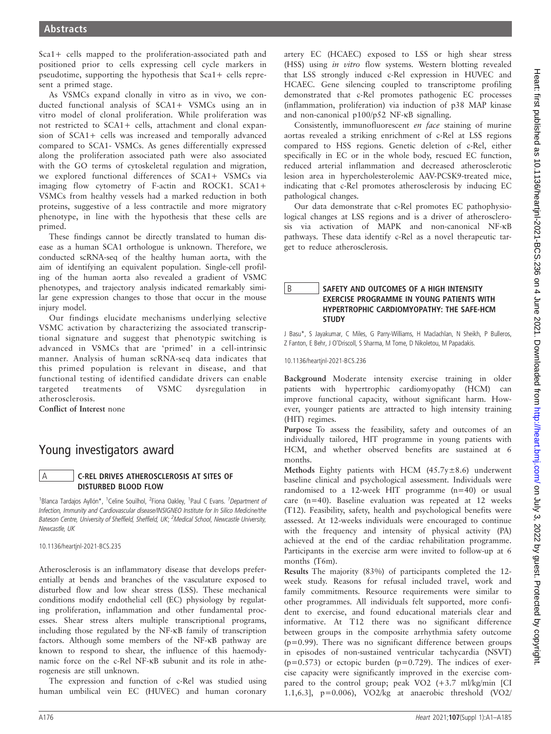Sca1+ cells mapped to the proliferation-associated path and positioned prior to cells expressing cell cycle markers in pseudotime, supporting the hypothesis that Sca1+ cells represent a primed stage.

As VSMCs expand clonally in vitro as in vivo, we conducted functional analysis of SCA1+ VSMCs using an in vitro model of clonal proliferation. While proliferation was not restricted to SCA1+ cells, attachment and clonal expansion of SCA1+ cells was increased and temporally advanced compared to SCA1- VSMCs. As genes differentially expressed along the proliferation associated path were also associated with the GO terms of cytoskeletal regulation and migration, we explored functional differences of SCA1+ VSMCs via imaging flow cytometry of F-actin and ROCK1. SCA1+ VSMCs from healthy vessels had a marked reduction in both proteins, suggestive of a less contractile and more migratory phenotype, in line with the hypothesis that these cells are primed.

These findings cannot be directly translated to human disease as a human SCA1 orthologue is unknown. Therefore, we conducted scRNA-seq of the healthy human aorta, with the aim of identifying an equivalent population. Single-cell profiling of the human aorta also revealed a gradient of VSMC phenotypes, and trajectory analysis indicated remarkably similar gene expression changes to those that occur in the mouse injury model.

Our findings elucidate mechanisms underlying selective VSMC activation by characterizing the associated transcriptional signature and suggest that phenotypic switching is advanced in VSMCs that are 'primed' in a cell-intrinsic manner. Analysis of human scRNA-seq data indicates that this primed population is relevant in disease, and that functional testing of identified candidate drivers can enable targeted treatments of VSMC dysregulation atherosclerosis.

Conflict of Interest none

# Young investigators award

#### **C-REL DRIVES ATHEROSCLEROSIS AT SITES OF** DISTURBED BLOOD FLOW

<sup>1</sup>Blanca Tardajos Ayllón\*, <sup>1</sup>Celine Souilhol, <sup>2</sup>Fiona Oakley, <sup>1</sup>Paul C Evans. <sup>1</sup>Department of Infection, Immunity and Cardiovascular disease/INSIGNEO Institute for In Silico Medicine/the Bateson Centre, University of Sheffield, Sheffield, UK; <sup>2</sup>Medical School, Newcastle University, Newcastle, UK

10.1136/heartjnl-2021-BCS.235

Atherosclerosis is an inflammatory disease that develops preferentially at bends and branches of the vasculature exposed to disturbed flow and low shear stress (LSS). These mechanical conditions modify endothelial cell (EC) physiology by regulating proliferation, inflammation and other fundamental processes. Shear stress alters multiple transcriptional programs, including those regulated by the NF-kB family of transcription factors. Although some members of the NF-kB pathway are known to respond to shear, the influence of this haemodynamic force on the c-Rel NF-kB subunit and its role in atherogenesis are still unknown.

The expression and function of c-Rel was studied using human umbilical vein EC (HUVEC) and human coronary

artery EC (HCAEC) exposed to LSS or high shear stress (HSS) using in vitro flow systems. Western blotting revealed that LSS strongly induced c-Rel expression in HUVEC and HCAEC. Gene silencing coupled to transcriptome profiling demonstrated that c-Rel promotes pathogenic EC processes (inflammation, proliferation) via induction of p38 MAP kinase and non-canonical p100/p52 NF-kB signalling.

Consistently, immunofluorescent en face staining of murine aortas revealed a striking enrichment of c-Rel at LSS regions compared to HSS regions. Genetic deletion of c-Rel, either specifically in EC or in the whole body, rescued EC function, reduced arterial inflammation and decreased atherosclerotic lesion area in hypercholesterolemic AAV-PCSK9-treated mice, indicating that c-Rel promotes atherosclerosis by inducing EC pathological changes.

Our data demonstrate that c-Rel promotes EC pathophysiological changes at LSS regions and is a driver of atherosclerosis via activation of MAPK and non-canonical NF-k<sup>B</sup> pathways. These data identify c-Rel as a novel therapeutic target to reduce atherosclerosis.

### B SAFETY AND OUTCOMES OF A HIGH INTENSITY EXERCISE PROGRAMME IN YOUNG PATIENTS WITH HYPERTROPHIC CARDIOMYOPATHY: THE SAFE-HCM **STUDY**

J Basu\*, S Jayakumar, C Miles, G Parry-Williams, H Maclachlan, N Sheikh, P Bulleros, Z Fanton, E Behr, J O'Driscoll, S Sharma, M Tome, D Nikoletou, M Papadakis.

10.1136/heartjnl-2021-BCS.236

Background Moderate intensity exercise training in older patients with hypertrophic cardiomyopathy (HCM) can improve functional capacity, without significant harm. However, younger patients are attracted to high intensity training (HIT) regimes.

Purpose To assess the feasibility, safety and outcomes of an individually tailored, HIT programme in young patients with HCM, and whether observed benefits are sustained at 6 months.

Methods Eighty patients with HCM  $(45.7y \pm 8.6)$  underwent baseline clinical and psychological assessment. Individuals were randomised to a 12-week HIT programme (n=40) or usual care (n=40). Baseline evaluation was repeated at 12 weeks (T12). Feasibility, safety, health and psychological benefits were assessed. At 12-weeks individuals were encouraged to continue with the frequency and intensity of physical activity (PA) achieved at the end of the cardiac rehabilitation programme. Participants in the exercise arm were invited to follow-up at 6 months (T6m).

Results The majority (83%) of participants completed the 12 week study. Reasons for refusal included travel, work and family commitments. Resource requirements were similar to other programmes. All individuals felt supported, more confident to exercise, and found educational materials clear and informative. At T12 there was no significant difference between groups in the composite arrhythmia safety outcome (p=0.99). There was no significant difference between groups in episodes of non-sustained ventricular tachycardia (NSVT)  $(p=0.573)$  or ectopic burden  $(p=0.729)$ . The indices of exercise capacity were significantly improved in the exercise compared to the control group; peak VO2 (+3.7 ml/kg/min [CI 1.1,6.3], p=0.006), VO2/kg at anaerobic threshold (VO2/